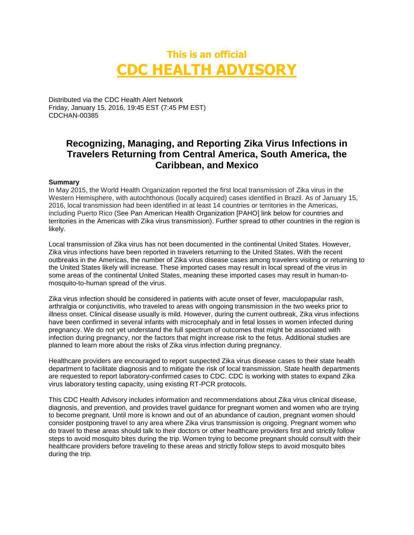# **This is an official CDC HEALTH ADVISORY**

Distributed via the CDC Health Alert Network Friday, January 15, 2016, 19:45 EST (7:45 PM EST) CDCHAN-00385

## **Recognizing, Managing, and Reporting Zika Virus Infections in Travelers Returning from Central America, South America, the Caribbean, and Mexico**

#### **Summary**

In May 2015, the World Health Organization reported the first local transmission of Zika virus in the Western Hemisphere, with autochthonous (locally acquired) cases identified in Brazil. As of January 15, 2016, local transmission had been identified in at least 14 countries or territories in the Americas, including Puerto Rico (See Pan American Health Organization [PAHO] link below for countries and territories in the Americas with Zika virus transmission). Further spread to other countries in the region is likely.

Local transmission of Zika virus has not been documented in the continental United States. However, Zika virus infections have been reported in travelers returning to the United States. With the recent outbreaks in the Americas, the number of Zika virus disease cases among travelers visiting or returning to the United States likely will increase. These imported cases may result in local spread of the virus in some areas of the continental United States, meaning these imported cases may result in human-tomosquito-to-human spread of the virus.

Zika virus infection should be considered in patients with acute onset of fever, maculopapular rash, arthralgia or conjunctivitis, who traveled to areas with ongoing transmission in the two weeks prior to illness onset. Clinical disease usually is mild. However, during the current outbreak, Zika virus infections have been confirmed in several infants with microcephaly and in fetal losses in women infected during pregnancy. We do not yet understand the full spectrum of outcomes that might be associated with infection during pregnancy, nor the factors that might increase risk to the fetus. Additional studies are planned to learn more about the risks of Zika virus infection during pregnancy.

Healthcare providers are encouraged to report suspected Zika virus disease cases to their state health department to facilitate diagnosis and to mitigate the risk of local transmission. State health departments are requested to report laboratory-confirmed cases to CDC. CDC is working with states to expand Zika virus laboratory testing capacity, using existing RT-PCR protocols.

This CDC Health Advisory includes information and recommendations about Zika virus clinical disease, diagnosis, and prevention, and provides travel guidance for pregnant women and women who are trying to become pregnant. Until more is known and out of an abundance of caution, pregnant women should consider postponing travel to any area where Zika virus transmission is ongoing. Pregnant women who do travel to these areas should talk to their doctors or other healthcare providers first and strictly follow steps to avoid mosquito bites during the trip. Women trying to become pregnant should consult with their healthcare providers before traveling to these areas and strictly follow steps to avoid mosquito bites during the trip.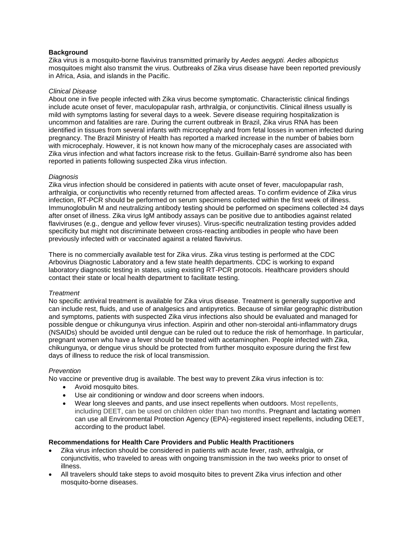#### **Background**

Zika virus is a mosquito-borne flavivirus transmitted primarily by *Aedes aegypti. Aedes albopictus* mosquitoes might also transmit the virus. Outbreaks of Zika virus disease have been reported previously in Africa, Asia, and islands in the Pacific.

#### *Clinical Disease*

About one in five people infected with Zika virus become symptomatic. Characteristic clinical findings include acute onset of fever, maculopapular rash, arthralgia, or conjunctivitis. Clinical illness usually is mild with symptoms lasting for several days to a week. Severe disease requiring hospitalization is uncommon and fatalities are rare. During the current outbreak in Brazil, Zika virus RNA has been identified in tissues from several infants with microcephaly and from fetal losses in women infected during pregnancy. The Brazil Ministry of Health has reported a marked increase in the number of babies born with microcephaly. However, it is not known how many of the microcephaly cases are associated with Zika virus infection and what factors increase risk to the fetus. Guillain-Barré syndrome also has been reported in patients following suspected Zika virus infection.

#### *Diagnosis*

Zika virus infection should be considered in patients with acute onset of fever, maculopapular rash, arthralgia, or conjunctivitis who recently returned from affected areas. To confirm evidence of Zika virus infection, RT-PCR should be performed on serum specimens collected within the first week of illness. Immunoglobulin M and neutralizing antibody testing should be performed on specimens collected ≥4 days after onset of illness. Zika virus IgM antibody assays can be positive due to antibodies against related flaviviruses (e.g., dengue and yellow fever viruses). Virus-specific neutralization testing provides added specificity but might not discriminate between cross-reacting antibodies in people who have been previously infected with or vaccinated against a related flavivirus.

There is no commercially available test for Zika virus. Zika virus testing is performed at the CDC Arbovirus Diagnostic Laboratory and a few state health departments. CDC is working to expand laboratory diagnostic testing in states, using existing RT-PCR protocols. Healthcare providers should contact their state or local health department to facilitate testing.

#### *Treatment*

No specific antiviral treatment is available for Zika virus disease. Treatment is generally supportive and can include rest, fluids, and use of analgesics and antipyretics. Because of similar geographic distribution and symptoms, patients with suspected Zika virus infections also should be evaluated and managed for possible dengue or chikungunya virus infection. Aspirin and other non-steroidal anti-inflammatory drugs (NSAIDs) should be avoided until dengue can be ruled out to reduce the risk of hemorrhage. In particular, pregnant women who have a fever should be treated with acetaminophen. People infected with Zika, chikungunya, or dengue virus should be protected from further mosquito exposure during the first few days of illness to reduce the risk of local transmission.

#### *Prevention*

No vaccine or preventive drug is available. The best way to prevent Zika virus infection is to:

- Avoid mosquito bites.
- Use air conditioning or window and door screens when indoors.
- Wear long sleeves and pants, and use insect repellents when outdoors. Most repellents, including DEET, can be used on children older than two months. Pregnant and lactating women can use all Environmental Protection Agency (EPA)-registered insect repellents, including DEET, according to the product label.

#### **Recommendations for Health Care Providers and Public Health Practitioners**

- Zika virus infection should be considered in patients with acute fever, rash, arthralgia, or conjunctivitis, who traveled to areas with ongoing transmission in the two weeks prior to onset of illness.
- All travelers should take steps to avoid mosquito bites to prevent Zika virus infection and other mosquito-borne diseases.